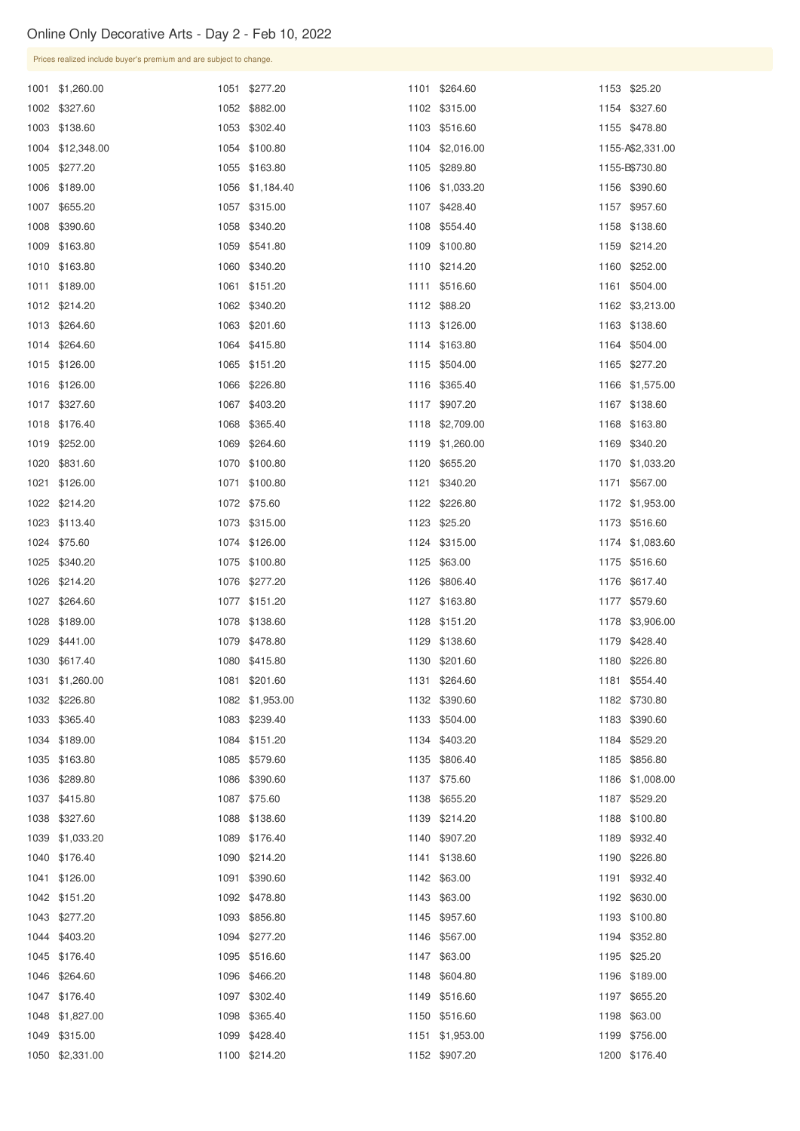|      | Prices realized include buyer's premium and are subject to change. |      |                 |                 |      |                  |
|------|--------------------------------------------------------------------|------|-----------------|-----------------|------|------------------|
|      | 1001 \$1,260.00                                                    |      | 1051 \$277.20   | 1101 \$264.60   |      | 1153 \$25.20     |
|      | 1002 \$327.60                                                      |      | 1052 \$882.00   | 1102 \$315.00   |      | 1154 \$327.60    |
|      | 1003 \$138.60                                                      |      | 1053 \$302.40   | 1103 \$516.60   |      | 1155 \$478.80    |
|      | 1004 \$12,348.00                                                   |      | 1054 \$100.80   | 1104 \$2,016.00 |      | 1155-A\$2,331.00 |
|      | 1005 \$277.20                                                      |      | 1055 \$163.80   | 1105 \$289.80   |      | 1155-B\$730.80   |
|      | 1006 \$189.00                                                      |      | 1056 \$1,184.40 | 1106 \$1,033.20 |      | 1156 \$390.60    |
|      | 1007 \$655.20                                                      |      | 1057 \$315.00   | 1107 \$428.40   |      | 1157 \$957.60    |
|      | 1008 \$390.60                                                      |      | 1058 \$340.20   | 1108 \$554.40   |      | 1158 \$138.60    |
|      | 1009 \$163.80                                                      |      | 1059 \$541.80   | 1109 \$100.80   |      | 1159 \$214.20    |
|      | 1010 \$163.80                                                      |      | 1060 \$340.20   | 1110 \$214.20   | 1160 | \$252.00         |
|      | 1011 \$189.00                                                      |      | 1061 \$151.20   | 1111 \$516.60   |      | 1161 \$504.00    |
|      | 1012 \$214.20                                                      |      | 1062 \$340.20   | 1112 \$88.20    |      | 1162 \$3,213.00  |
|      | 1013 \$264.60                                                      |      | 1063 \$201.60   | 1113 \$126.00   |      | 1163 \$138.60    |
|      | 1014 \$264.60                                                      |      | 1064 \$415.80   | 1114 \$163.80   |      | 1164 \$504.00    |
|      | 1015 \$126.00                                                      |      | 1065 \$151.20   | 1115 \$504.00   |      | 1165 \$277.20    |
|      | 1016 \$126.00                                                      |      | 1066 \$226.80   | 1116 \$365.40   |      | 1166 \$1,575.00  |
|      | 1017 \$327.60                                                      |      | 1067 \$403.20   | 1117 \$907.20   | 1167 | \$138.60         |
|      | 1018 \$176.40                                                      |      | 1068 \$365.40   | 1118 \$2,709.00 |      | 1168 \$163.80    |
| 1019 | \$252.00                                                           | 1069 | \$264.60        | 1119 \$1,260.00 |      | 1169 \$340.20    |
|      | 1020 \$831.60                                                      |      | 1070 \$100.80   | 1120 \$655.20   |      | 1170 \$1,033.20  |
|      | 1021 \$126.00                                                      |      | 1071 \$100.80   | 1121 \$340.20   |      | 1171 \$567.00    |
|      | 1022 \$214.20                                                      |      | 1072 \$75.60    | 1122 \$226.80   |      | 1172 \$1,953.00  |
|      | 1023 \$113.40                                                      |      | 1073 \$315.00   | 1123 \$25.20    |      | 1173 \$516.60    |
|      | 1024 \$75.60                                                       |      | 1074 \$126.00   | 1124 \$315.00   |      | 1174 \$1,083.60  |
|      | 1025 \$340.20                                                      |      | 1075 \$100.80   | 1125 \$63.00    |      | 1175 \$516.60    |
|      | 1026 \$214.20                                                      |      | 1076 \$277.20   | 1126 \$806.40   |      | 1176 \$617.40    |
|      | 1027 \$264.60                                                      |      | 1077 \$151.20   | 1127 \$163.80   |      | 1177 \$579.60    |
|      | 1028 \$189.00                                                      |      | 1078 \$138.60   | 1128 \$151.20   |      | 1178 \$3,906.00  |
|      | 1029 \$441.00                                                      |      | 1079 \$478.80   | 1129 \$138.60   |      | 1179 \$428.40    |
|      | 1030 \$617.40                                                      |      | 1080 \$415.80   | 1130 \$201.60   |      | 1180 \$226.80    |
|      | 1031 \$1,260.00                                                    |      | 1081 \$201.60   | 1131 \$264.60   |      | 1181 \$554.40    |
|      | 1032 \$226.80                                                      |      | 1082 \$1,953.00 | 1132 \$390.60   |      | 1182 \$730.80    |
|      | 1033 \$365.40                                                      |      | 1083 \$239.40   | 1133 \$504.00   |      | 1183 \$390.60    |
|      | 1034 \$189.00                                                      |      | 1084 \$151.20   | 1134 \$403.20   |      | 1184 \$529.20    |
|      | 1035 \$163.80                                                      |      | 1085 \$579.60   | 1135 \$806.40   |      | 1185 \$856.80    |
|      | 1036 \$289.80                                                      |      | 1086 \$390.60   | 1137 \$75.60    |      | 1186 \$1,008.00  |
|      | 1037 \$415.80                                                      |      | 1087 \$75.60    | 1138 \$655.20   |      | 1187 \$529.20    |
|      | 1038 \$327.60                                                      |      | 1088 \$138.60   | 1139 \$214.20   |      | 1188 \$100.80    |
|      | 1039 \$1,033.20                                                    |      | 1089 \$176.40   | 1140 \$907.20   |      | 1189 \$932.40    |
|      | 1040 \$176.40                                                      |      | 1090 \$214.20   | 1141 \$138.60   |      | 1190 \$226.80    |
|      | 1041 \$126.00                                                      |      | 1091 \$390.60   | 1142 \$63.00    |      | 1191 \$932.40    |
|      | 1042 \$151.20                                                      |      | 1092 \$478.80   | 1143 \$63.00    |      | 1192 \$630.00    |
|      | 1043 \$277.20                                                      |      | 1093 \$856.80   | 1145 \$957.60   |      | 1193 \$100.80    |
|      | 1044 \$403.20                                                      |      | 1094 \$277.20   | 1146 \$567.00   |      | 1194 \$352.80    |
|      | 1045 \$176.40                                                      |      | 1095 \$516.60   | 1147 \$63.00    |      | 1195 \$25.20     |
|      | 1046 \$264.60                                                      |      | 1096 \$466.20   | 1148 \$604.80   |      | 1196 \$189.00    |
|      | 1047 \$176.40                                                      |      | 1097 \$302.40   | 1149 \$516.60   |      | 1197 \$655.20    |
|      | 1048 \$1,827.00                                                    |      | 1098 \$365.40   | 1150 \$516.60   |      | 1198 \$63.00     |
|      | 1049 \$315.00                                                      |      | 1099 \$428.40   | 1151 \$1,953.00 |      | 1199 \$756.00    |
|      | 1050 \$2,331.00                                                    |      | 1100 \$214.20   | 1152 \$907.20   |      | 1200 \$176.40    |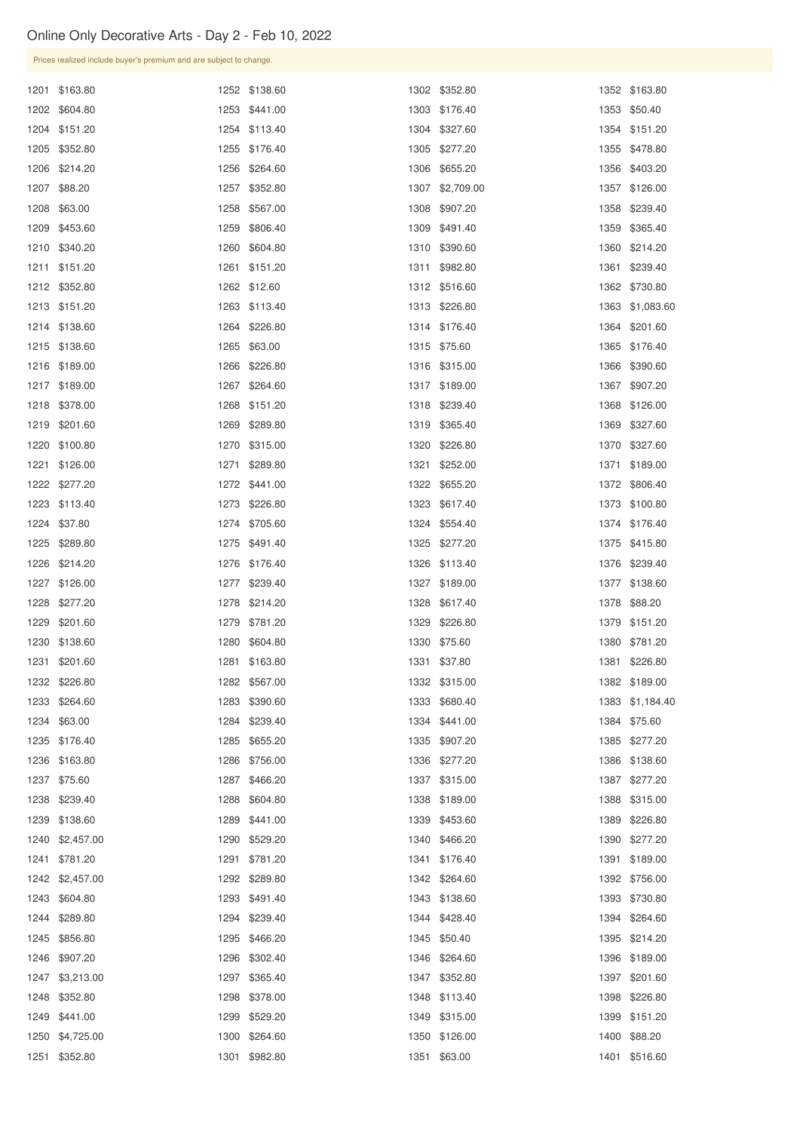| Prices realized include buyer's premium and are subject to change. |      |               |                 |      |                 |
|--------------------------------------------------------------------|------|---------------|-----------------|------|-----------------|
| 1201 \$163.80                                                      |      | 1252 \$138.60 | 1302 \$352.80   |      | 1352 \$163.80   |
| 1202 \$604.80                                                      |      | 1253 \$441.00 | 1303 \$176.40   |      | 1353 \$50.40    |
| 1204 \$151.20                                                      |      | 1254 \$113.40 | 1304 \$327.60   |      | 1354 \$151.20   |
| 1205 \$352.80                                                      |      | 1255 \$176.40 | 1305 \$277.20   |      | 1355 \$478.80   |
| 1206 \$214.20                                                      |      | 1256 \$264.60 | 1306 \$655.20   |      | 1356 \$403.20   |
| 1207 \$88.20                                                       | 1257 | \$352.80      | 1307 \$2,709.00 |      | 1357 \$126.00   |
| 1208 \$63.00                                                       | 1258 | \$567.00      | 1308 \$907.20   |      | 1358 \$239.40   |
| 1209 \$453.60                                                      | 1259 | \$806.40      | 1309 \$491.40   |      | 1359 \$365.40   |
| 1210 \$340.20                                                      |      | 1260 \$604.80 | 1310 \$390.60   |      | 1360 \$214.20   |
| 1211 \$151.20                                                      | 1261 | \$151.20      | 1311 \$982.80   | 1361 | \$239.40        |
| 1212 \$352.80                                                      |      | 1262 \$12.60  | 1312 \$516.60   |      | 1362 \$730.80   |
| 1213 \$151.20                                                      |      | 1263 \$113.40 | 1313 \$226.80   |      | 1363 \$1,083.60 |
| 1214 \$138.60                                                      |      | 1264 \$226.80 | 1314 \$176.40   |      | 1364 \$201.60   |
| 1215 \$138.60                                                      |      | 1265 \$63.00  | 1315 \$75.60    |      | 1365 \$176.40   |
| 1216 \$189.00                                                      |      | 1266 \$226.80 | 1316 \$315.00   |      | 1366 \$390.60   |
| 1217 \$189.00                                                      | 1267 | \$264.60      | 1317 \$189.00   |      | 1367 \$907.20   |
| 1218 \$378.00                                                      |      | 1268 \$151.20 | 1318 \$239.40   |      | 1368 \$126.00   |
| 1219 \$201.60                                                      | 1269 | \$289.80      | 1319 \$365.40   |      | 1369 \$327.60   |
| 1220 \$100.80                                                      | 1270 | \$315.00      | 1320 \$226.80   |      | 1370 \$327.60   |
| 1221 \$126.00                                                      |      | 1271 \$289.80 | 1321 \$252.00   |      | 1371 \$189.00   |
| 1222 \$277.20                                                      |      | 1272 \$441.00 | 1322 \$655.20   |      | 1372 \$806.40   |
| 1223 \$113.40                                                      |      | 1273 \$226.80 | 1323 \$617.40   |      | 1373 \$100.80   |
| 1224 \$37.80                                                       |      | 1274 \$705.60 | 1324 \$554.40   |      | 1374 \$176.40   |
| 1225 \$289.80                                                      |      | 1275 \$491.40 | 1325 \$277.20   |      | 1375 \$415.80   |
| 1226 \$214.20                                                      |      | 1276 \$176.40 | 1326 \$113.40   |      | 1376 \$239.40   |
| 1227 \$126.00                                                      |      | 1277 \$239.40 | 1327 \$189.00   |      | 1377 \$138.60   |
| 1228 \$277.20                                                      |      | 1278 \$214.20 | 1328 \$617.40   |      | 1378 \$88.20    |
| 1229 \$201.60                                                      |      | 1279 \$781.20 | 1329 \$226.80   |      | 1379 \$151.20   |
| 1230 \$138.60                                                      | 1280 | \$604.80      | 1330 \$75.60    |      | 1380 \$781.20   |
| 1231 \$201.60                                                      |      | 1281 \$163.80 | 1331 \$37.80    |      | 1381 \$226.80   |
| 1232 \$226.80                                                      |      | 1282 \$567.00 | 1332 \$315.00   |      | 1382 \$189.00   |
| 1233 \$264.60                                                      | 1283 | \$390.60      | 1333 \$680.40   |      | 1383 \$1,184.40 |
| 1234 \$63.00                                                       |      | 1284 \$239.40 | 1334 \$441.00   |      | 1384 \$75.60    |
| 1235 \$176.40                                                      | 1285 | \$655.20      | 1335 \$907.20   |      | 1385 \$277.20   |
| 1236 \$163.80                                                      | 1286 | \$756.00      | 1336 \$277.20   |      | 1386 \$138.60   |
| 1237 \$75.60                                                       | 1287 | \$466.20      | 1337 \$315.00   |      | 1387 \$277.20   |
| 1238 \$239.40                                                      | 1288 | \$604.80      | 1338 \$189.00   |      | 1388 \$315.00   |
| 1239 \$138.60                                                      | 1289 | \$441.00      | 1339 \$453.60   |      | 1389 \$226.80   |
| 1240 \$2,457.00                                                    |      | 1290 \$529.20 | 1340 \$466.20   |      | 1390 \$277.20   |

| 1241 \$781.20   | 1291 \$781.20 | 1341 \$176.40 | 1391 \$189.00 |
|-----------------|---------------|---------------|---------------|
| 1242 \$2,457.00 | 1292 \$289.80 | 1342 \$264.60 | 1392 \$756.00 |
| 1243 \$604.80   | 1293 \$491.40 | 1343 \$138.60 | 1393 \$730.80 |
| 1244 \$289.80   | 1294 \$239.40 | 1344 \$428.40 | 1394 \$264.60 |
| 1245 \$856.80   | 1295 \$466.20 | 1345 \$50.40  | 1395 \$214.20 |
| 1246 \$907.20   | 1296 \$302.40 | 1346 \$264.60 | 1396 \$189.00 |
| 1247 \$3,213.00 | 1297 \$365.40 | 1347 \$352.80 | 1397 \$201.60 |
| 1248 \$352.80   | 1298 \$378.00 | 1348 \$113.40 | 1398 \$226.80 |
| 1249 \$441.00   | 1299 \$529.20 | 1349 \$315.00 | 1399 \$151.20 |
| 1250 \$4,725.00 | 1300 \$264.60 | 1350 \$126.00 | 1400 \$88.20  |
| 1251 \$352.80   | 1301 \$982.80 | 1351 \$63.00  | 1401 \$516.60 |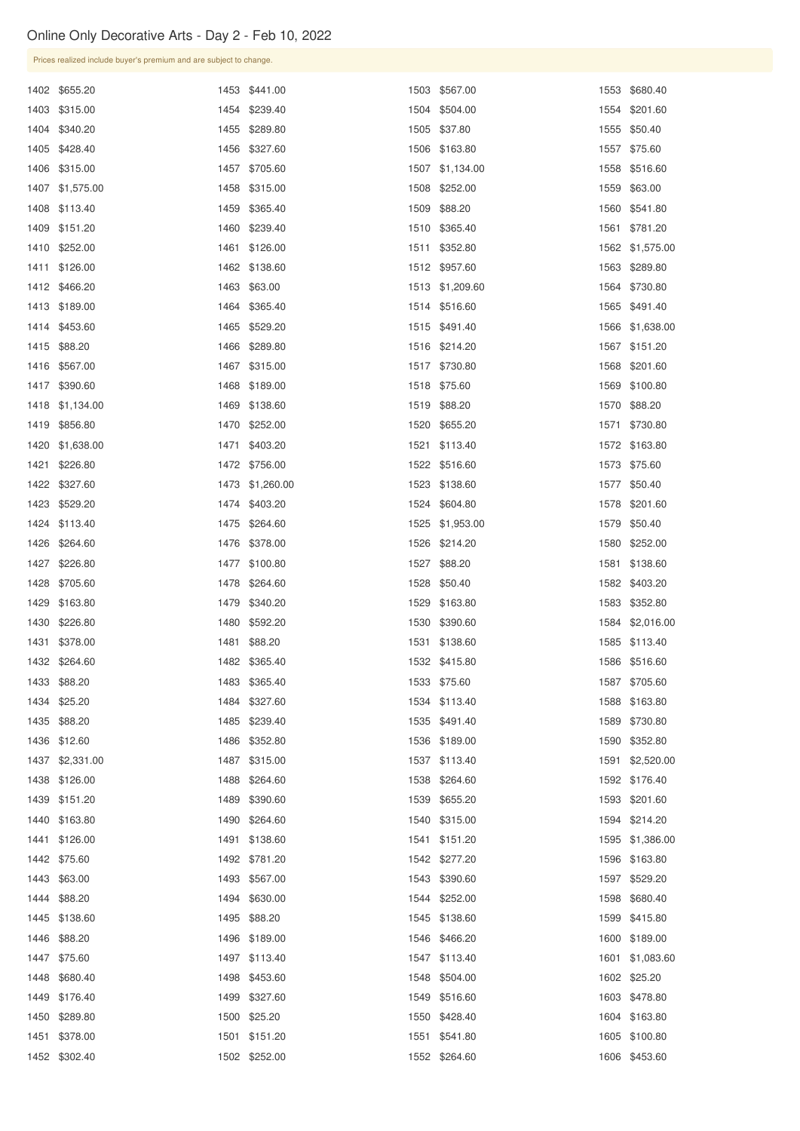\$126.00

\$138.60

| Prices realized include buyer's premium and are subject to change. |      |                 |                 |                 |
|--------------------------------------------------------------------|------|-----------------|-----------------|-----------------|
| 1402 \$655.20                                                      |      | 1453 \$441.00   | 1503 \$567.00   | 1553 \$680.40   |
| 1403 \$315.00                                                      |      | 1454 \$239.40   | 1504 \$504.00   | 1554 \$201.60   |
| 1404 \$340.20                                                      |      | 1455 \$289.80   | 1505 \$37.80    | 1555 \$50.40    |
| 1405 \$428.40                                                      |      | 1456 \$327.60   | 1506 \$163.80   | 1557 \$75.60    |
| 1406 \$315.00                                                      |      | 1457 \$705.60   | 1507 \$1,134.00 | 1558 \$516.60   |
| 1407 \$1,575.00                                                    |      | 1458 \$315.00   | 1508 \$252.00   | 1559 \$63.00    |
| 1408 \$113.40                                                      |      | 1459 \$365.40   | 1509 \$88.20    | 1560 \$541.80   |
| 1409 \$151.20                                                      |      | 1460 \$239.40   | 1510 \$365.40   | 1561 \$781.20   |
| 1410 \$252.00                                                      |      | 1461 \$126.00   | 1511 \$352.80   | 1562 \$1,575.00 |
| 1411 \$126.00                                                      |      | 1462 \$138.60   | 1512 \$957.60   | 1563 \$289.80   |
| 1412 \$466.20                                                      |      | 1463 \$63.00    | 1513 \$1,209.60 | 1564 \$730.80   |
| 1413 \$189.00                                                      |      | 1464 \$365.40   | 1514 \$516.60   | 1565 \$491.40   |
| 1414 \$453.60                                                      |      | 1465 \$529.20   | 1515 \$491.40   | 1566 \$1,638.00 |
| 1415 \$88.20                                                       |      | 1466 \$289.80   | 1516 \$214.20   | 1567 \$151.20   |
| 1416 \$567.00                                                      |      | 1467 \$315.00   | 1517 \$730.80   | 1568 \$201.60   |
| 1417 \$390.60                                                      |      | 1468 \$189.00   | 1518 \$75.60    | 1569 \$100.80   |
| 1418 \$1,134.00                                                    |      | 1469 \$138.60   | 1519 \$88.20    | 1570 \$88.20    |
| 1419 \$856.80                                                      |      | 1470 \$252.00   | 1520 \$655.20   | 1571 \$730.80   |
| 1420 \$1,638.00                                                    |      | 1471 \$403.20   | 1521 \$113.40   | 1572 \$163.80   |
| 1421 \$226.80                                                      |      | 1472 \$756.00   | 1522 \$516.60   | 1573 \$75.60    |
| 1422 \$327.60                                                      |      | 1473 \$1,260.00 | 1523 \$138.60   | 1577 \$50.40    |
| 1423 \$529.20                                                      |      | 1474 \$403.20   | 1524 \$604.80   | 1578 \$201.60   |
| 1424 \$113.40                                                      |      | 1475 \$264.60   | 1525 \$1,953.00 | 1579 \$50.40    |
| 1426 \$264.60                                                      |      | 1476 \$378.00   | 1526 \$214.20   | 1580 \$252.00   |
| 1427 \$226.80                                                      |      | 1477 \$100.80   | 1527 \$88.20    | 1581 \$138.60   |
| 1428 \$705.60                                                      |      | 1478 \$264.60   | 1528 \$50.40    | 1582 \$403.20   |
| 1429 \$163.80                                                      |      | 1479 \$340.20   | 1529 \$163.80   | 1583 \$352.80   |
| 1430 \$226.80                                                      |      | 1480 \$592.20   | 1530 \$390.60   | 1584 \$2,016.00 |
| 1431 \$378.00                                                      | 1481 | \$88.20         | 1531 \$138.60   | 1585 \$113.40   |
| 1432 \$264.60                                                      |      | 1482 \$365.40   | 1532 \$415.80   | 1586 \$516.60   |
| 1433 \$88.20                                                       |      | 1483 \$365.40   | 1533 \$75.60    | 1587 \$705.60   |
| 1434 \$25.20                                                       |      | 1484 \$327.60   | 1534 \$113.40   | 1588 \$163.80   |
| 1435 \$88.20                                                       |      | 1485 \$239.40   | 1535 \$491.40   | 1589 \$730.80   |
| 1436 \$12.60                                                       |      | 1486 \$352.80   | 1536 \$189.00   | 1590 \$352.80   |
| 1437 \$2,331.00                                                    |      | 1487 \$315.00   | 1537 \$113.40   | 1591 \$2,520.00 |
| 1438 \$126.00                                                      | 1488 | \$264.60        | 1538 \$264.60   | 1592 \$176.40   |
| 1439 \$151.20                                                      |      | 1489 \$390.60   | 1539 \$655.20   | 1593 \$201.60   |
| 1440 \$163.80                                                      |      | 1490 \$264.60   | 1540 \$315.00   | 1594 \$214.20   |
|                                                                    |      |                 |                 |                 |

| 1442 \$75.60  | 1492 \$781.20 | 1542 \$277.20 | 1596 \$163.80   |
|---------------|---------------|---------------|-----------------|
| 1443 \$63.00  | 1493 \$567.00 | 1543 \$390.60 | 1597 \$529.20   |
| 1444 \$88.20  | 1494 \$630.00 | 1544 \$252.00 | 1598 \$680.40   |
| 1445 \$138.60 | 1495 \$88.20  | 1545 \$138.60 | 1599 \$415.80   |
| 1446 \$88.20  | 1496 \$189.00 | 1546 \$466.20 | 1600 \$189.00   |
| 1447 \$75.60  | 1497 \$113.40 | 1547 \$113.40 | 1601 \$1,083.60 |
| 1448 \$680.40 | 1498 \$453.60 | 1548 \$504.00 | 1602 \$25.20    |
| 1449 \$176.40 | 1499 \$327.60 | 1549 \$516.60 | 1603 \$478.80   |
| 1450 \$289.80 | 1500 \$25.20  | 1550 \$428.40 | 1604 \$163.80   |
| 1451 \$378.00 | 1501 \$151.20 | 1551 \$541.80 | 1605 \$100.80   |
| 1452 \$302.40 | 1502 \$252.00 | 1552 \$264.60 | 1606 \$453.60   |

\$151.20

\$1,386.00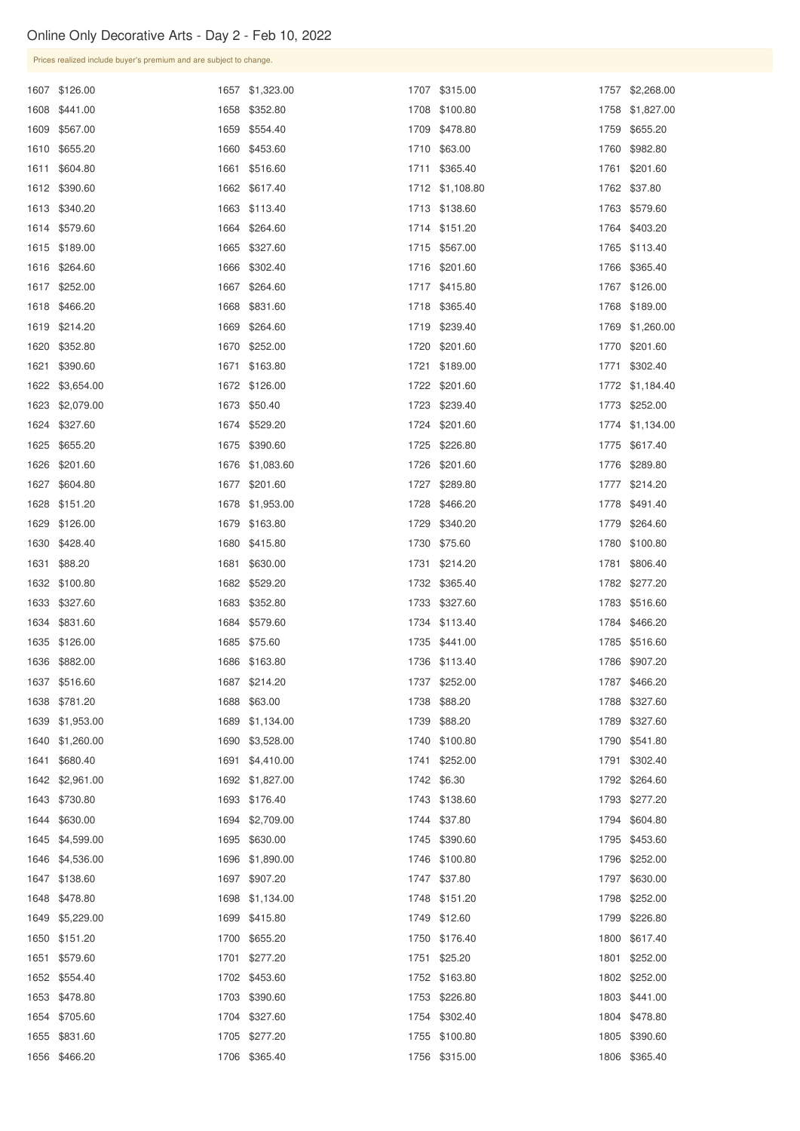| UTHE UTILY DECORDIVE ALLS - Day $2 -$ FeD TO, 2022 |                                                                    |  |                 |  |                 |  |                 |  |  |  |
|----------------------------------------------------|--------------------------------------------------------------------|--|-----------------|--|-----------------|--|-----------------|--|--|--|
|                                                    | Prices realized include buyer's premium and are subject to change. |  |                 |  |                 |  |                 |  |  |  |
|                                                    | 1607 \$126.00                                                      |  | 1657 \$1,323.00 |  | 1707 \$315.00   |  | 1757 \$2,268.00 |  |  |  |
|                                                    | 1608 \$441.00                                                      |  | 1658 \$352.80   |  | 1708 \$100.80   |  | 1758 \$1,827.00 |  |  |  |
|                                                    | 1609 \$567.00                                                      |  | 1659 \$554.40   |  | 1709 \$478.80   |  | 1759 \$655.20   |  |  |  |
|                                                    | 1610 \$655.20                                                      |  | 1660 \$453.60   |  | 1710 \$63.00    |  | 1760 \$982.80   |  |  |  |
|                                                    | 1611 \$604.80                                                      |  | 1661 \$516.60   |  | 1711 \$365.40   |  | 1761 \$201.60   |  |  |  |
|                                                    | 1612 \$390.60                                                      |  | 1662 \$617.40   |  | 1712 \$1,108.80 |  | 1762 \$37.80    |  |  |  |
|                                                    | 1613 \$340.20                                                      |  | 1663 \$113.40   |  | 1713 \$138.60   |  | 1763 \$579.60   |  |  |  |
|                                                    | 1614 \$579.60                                                      |  | 1664 \$264.60   |  | 1714 \$151.20   |  | 1764 \$403.20   |  |  |  |
|                                                    | 1615 \$189.00                                                      |  | 1665 \$327.60   |  | 1715 \$567.00   |  | 1765 \$113.40   |  |  |  |
|                                                    | 1616 \$264.60                                                      |  | 1666 \$302.40   |  | 1716 \$201.60   |  | 1766 \$365.40   |  |  |  |
|                                                    | 1617 \$252.00                                                      |  | 1667 \$264.60   |  | 1717 \$415.80   |  | 1767 \$126.00   |  |  |  |
|                                                    | 1618 \$466.20                                                      |  | 1668 \$831.60   |  | 1718 \$365.40   |  | 1768 \$189.00   |  |  |  |
|                                                    | 1619 \$214.20                                                      |  | 1669 \$264.60   |  | 1719 \$239.40   |  | 1769 \$1,260.00 |  |  |  |
|                                                    | 1620 \$352.80                                                      |  | 1670 \$252.00   |  | 1720 \$201.60   |  | 1770 \$201.60   |  |  |  |
|                                                    | 1621 \$390.60                                                      |  | 1671 \$163.80   |  | 1721 \$189.00   |  | 1771 \$302.40   |  |  |  |
|                                                    | 1622 \$3,654.00                                                    |  | 1672 \$126.00   |  | 1722 \$201.60   |  | 1772 \$1,184.40 |  |  |  |
|                                                    | 1623 \$2,079.00                                                    |  | 1673 \$50.40    |  | 1723 \$239.40   |  | 1773 \$252.00   |  |  |  |
|                                                    | 1624 \$327.60                                                      |  | 1674 \$529.20   |  | 1724 \$201.60   |  | 1774 \$1,134.00 |  |  |  |
|                                                    | 1625 \$655.20                                                      |  | 1675 \$390.60   |  | 1725 \$226.80   |  | 1775 \$617.40   |  |  |  |
|                                                    | 1626 \$201.60                                                      |  | 1676 \$1,083.60 |  | 1726 \$201.60   |  | 1776 \$289.80   |  |  |  |
|                                                    | 1627 \$604.80                                                      |  | 1677 \$201.60   |  | 1727 \$289.80   |  | 1777 \$214.20   |  |  |  |

| 1627 \$604.80   | 1677 \$201.60   | 1727 \$289.80 |      | 1777 \$214.20 |
|-----------------|-----------------|---------------|------|---------------|
| 1628 \$151.20   | 1678 \$1,953.00 | 1728 \$466.20 |      | 1778 \$491.40 |
| 1629 \$126.00   | 1679 \$163.80   | 1729 \$340.20 | 1779 | \$264.60      |
| 1630 \$428.40   | 1680 \$415.80   | 1730 \$75.60  | 1780 | \$100.80      |
| 1631 \$88.20    | 1681 \$630.00   | 1731 \$214.20 | 1781 | \$806.40      |
| 1632 \$100.80   | 1682 \$529.20   | 1732 \$365.40 |      | 1782 \$277.20 |
| 1633 \$327.60   | 1683 \$352.80   | 1733 \$327.60 |      | 1783 \$516.60 |
| 1634 \$831.60   | 1684 \$579.60   | 1734 \$113.40 |      | 1784 \$466.20 |
| 1635 \$126.00   | 1685 \$75.60    | 1735 \$441.00 |      | 1785 \$516.60 |
| 1636 \$882.00   | 1686 \$163.80   | 1736 \$113.40 |      | 1786 \$907.20 |
| 1637 \$516.60   | 1687 \$214.20   | 1737 \$252.00 | 1787 | \$466.20      |
| 1638 \$781.20   | 1688 \$63.00    | 1738 \$88.20  | 1788 | \$327.60      |
| 1639 \$1,953.00 | 1689 \$1,134.00 | 1739 \$88.20  | 1789 | \$327.60      |
| 1640 \$1,260.00 | 1690 \$3,528.00 | 1740 \$100.80 | 1790 | \$541.80      |
| 1641 \$680.40   | 1691 \$4,410.00 | 1741 \$252.00 | 1791 | \$302.40      |
| 1642 \$2,961.00 | 1692 \$1,827.00 | 1742 \$6.30   | 1792 | \$264.60      |
| 1643 \$730.80   | 1693 \$176.40   | 1743 \$138.60 |      | 1793 \$277.20 |
| 1644 \$630.00   | 1694 \$2,709.00 | 1744 \$37.80  |      | 1794 \$604.80 |
| 1645 \$4,599.00 | 1695 \$630.00   | 1745 \$390.60 |      | 1795 \$453.60 |

| 1646 \$4,536.00 | 1696 \$1,890.00 | 1746 \$100.80 | 1796 \$252.00 |
|-----------------|-----------------|---------------|---------------|
| 1647 \$138.60   | 1697 \$907.20   | 1747 \$37.80  | 1797 \$630.00 |
| 1648 \$478.80   | 1698 \$1,134.00 | 1748 \$151.20 | 1798 \$252.00 |
| 1649 \$5,229.00 | 1699 \$415.80   | 1749 \$12.60  | 1799 \$226.80 |
| 1650 \$151.20   | 1700 \$655.20   | 1750 \$176.40 | 1800 \$617.40 |
| 1651 \$579.60   | 1701 \$277.20   | 1751 \$25.20  | 1801 \$252.00 |
| 1652 \$554.40   | 1702 \$453.60   | 1752 \$163.80 | 1802 \$252.00 |
| 1653 \$478.80   | 1703 \$390.60   | 1753 \$226.80 | 1803 \$441.00 |
| 1654 \$705.60   | 1704 \$327.60   | 1754 \$302.40 | 1804 \$478.80 |
| 1655 \$831.60   | 1705 \$277.20   | 1755 \$100.80 | 1805 \$390.60 |
| 1656 \$466.20   | 1706 \$365.40   | 1756 \$315.00 | 1806 \$365.40 |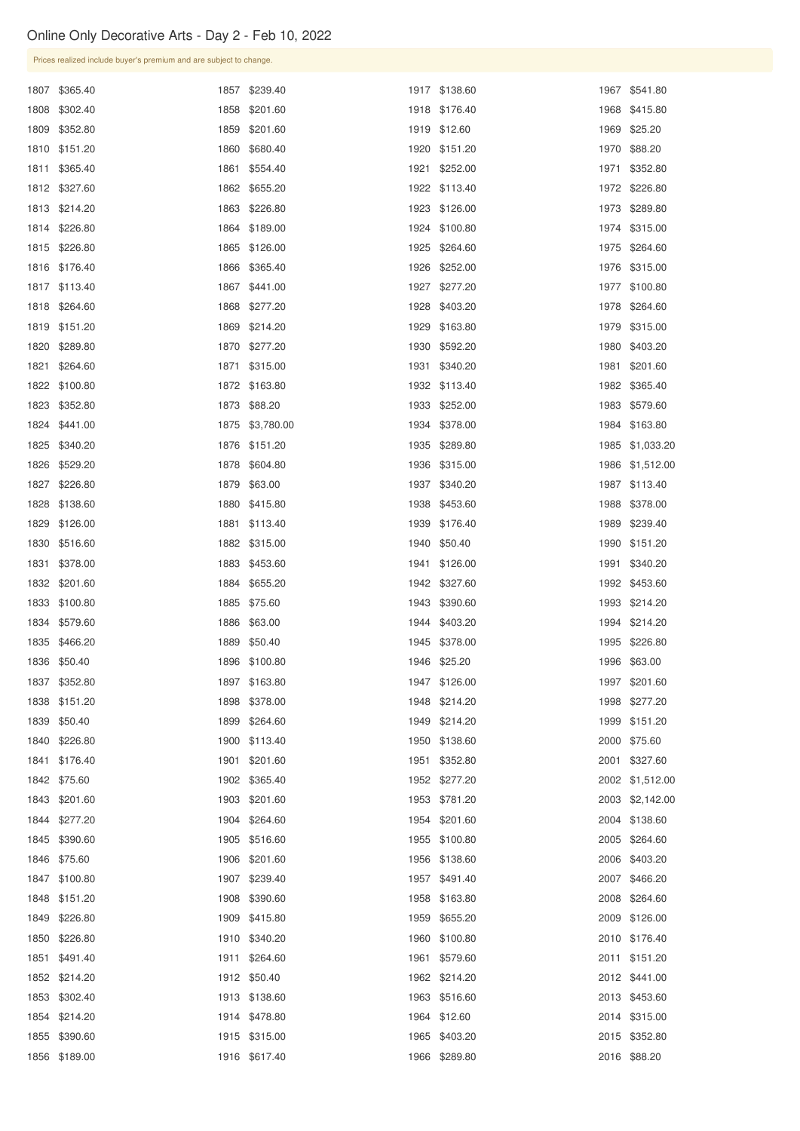| Prices realized include buyer's premium and are subject to change. |                 |               |                 |
|--------------------------------------------------------------------|-----------------|---------------|-----------------|
| 1807 \$365.40                                                      | 1857 \$239.40   | 1917 \$138.60 | 1967 \$541.80   |
| 1808 \$302.40                                                      | 1858 \$201.60   | 1918 \$176.40 | 1968 \$415.80   |
| 1809 \$352.80                                                      | 1859 \$201.60   | 1919 \$12.60  | 1969 \$25.20    |
| 1810 \$151.20                                                      | 1860 \$680.40   | 1920 \$151.20 | 1970 \$88.20    |
| 1811 \$365.40                                                      | 1861 \$554.40   | 1921 \$252.00 | 1971 \$352.80   |
| 1812 \$327.60                                                      | 1862 \$655.20   | 1922 \$113.40 | 1972 \$226.80   |
| 1813 \$214.20                                                      | 1863 \$226.80   | 1923 \$126.00 | 1973 \$289.80   |
| 1814 \$226.80                                                      | 1864 \$189.00   | 1924 \$100.80 | 1974 \$315.00   |
| 1815 \$226.80                                                      | 1865 \$126.00   | 1925 \$264.60 | 1975 \$264.60   |
| 1816 \$176.40                                                      | 1866 \$365.40   | 1926 \$252.00 | 1976 \$315.00   |
| 1817 \$113.40                                                      | 1867 \$441.00   | 1927 \$277.20 | 1977 \$100.80   |
| 1818 \$264.60                                                      | 1868 \$277.20   | 1928 \$403.20 | 1978 \$264.60   |
| 1819 \$151.20                                                      | 1869 \$214.20   | 1929 \$163.80 | 1979 \$315.00   |
| 1820 \$289.80                                                      | 1870 \$277.20   | 1930 \$592.20 | 1980 \$403.20   |
| 1821 \$264.60                                                      | 1871 \$315.00   | 1931 \$340.20 | 1981 \$201.60   |
| 1822 \$100.80                                                      | 1872 \$163.80   | 1932 \$113.40 | 1982 \$365.40   |
| 1823 \$352.80                                                      | 1873 \$88.20    | 1933 \$252.00 | 1983 \$579.60   |
| 1824 \$441.00                                                      | 1875 \$3,780.00 | 1934 \$378.00 | 1984 \$163.80   |
| 1825 \$340.20                                                      | 1876 \$151.20   | 1935 \$289.80 | 1985 \$1,033.20 |
| 1826 \$529.20                                                      | 1878 \$604.80   | 1936 \$315.00 | 1986 \$1,512.00 |
| 1827 \$226.80                                                      | 1879 \$63.00    | 1937 \$340.20 | 1987 \$113.40   |
| 1828 \$138.60                                                      | 1880 \$415.80   | 1938 \$453.60 | 1988 \$378.00   |
| 1829 \$126.00                                                      | 1881 \$113.40   | 1939 \$176.40 | 1989 \$239.40   |
| 1830 \$516.60                                                      | 1882 \$315.00   | 1940 \$50.40  | 1990 \$151.20   |
| 1831 \$378.00                                                      | 1883 \$453.60   | 1941 \$126.00 | 1991 \$340.20   |
| 1832 \$201.60                                                      | 1884 \$655.20   | 1942 \$327.60 | 1992 \$453.60   |
| 1833 \$100.80                                                      | 1885 \$75.60    | 1943 \$390.60 | 1993 \$214.20   |
| 1834 \$579.60                                                      | 1886 \$63.00    | 1944 \$403.20 | 1994 \$214.20   |
| 1835 \$466.20                                                      | 1889 \$50.40    | 1945 \$378.00 | 1995 \$226.80   |
| 1836 \$50.40                                                       | 1896 \$100.80   | 1946 \$25.20  | 1996 \$63.00    |
| 1837 \$352.80                                                      | 1897 \$163.80   | 1947 \$126.00 | 1997 \$201.60   |
| 1838 \$151.20                                                      | 1898 \$378.00   | 1948 \$214.20 | 1998 \$277.20   |
| 1839 \$50.40                                                       | 1899 \$264.60   | 1949 \$214.20 | 1999 \$151.20   |
| 1840 \$226.80                                                      | 1900 \$113.40   | 1950 \$138.60 | 2000 \$75.60    |
| 1841 \$176.40                                                      | 1901 \$201.60   | 1951 \$352.80 | 2001 \$327.60   |
| 1842 \$75.60                                                       | 1902 \$365.40   | 1952 \$277.20 | 2002 \$1,512.00 |
| 1843 \$201.60                                                      | 1903 \$201.60   | 1953 \$781.20 | 2003 \$2,142.00 |
| 1844 \$277.20                                                      | 1904 \$264.60   | 1954 \$201.60 | 2004 \$138.60   |
| 1845 \$390.60                                                      | 1905 \$516.60   | 1955 \$100.80 | 2005 \$264.60   |

| 1846 \$75.60  | 1906 \$201.60 | 1956 \$138.60 | 2006 \$403.20 |
|---------------|---------------|---------------|---------------|
| 1847 \$100.80 | 1907 \$239.40 | 1957 \$491.40 | 2007 \$466.20 |
| 1848 \$151.20 | 1908 \$390.60 | 1958 \$163.80 | 2008 \$264.60 |
| 1849 \$226.80 | 1909 \$415.80 | 1959 \$655.20 | 2009 \$126.00 |
| 1850 \$226.80 | 1910 \$340.20 | 1960 \$100.80 | 2010 \$176.40 |
| 1851 \$491.40 | 1911 \$264.60 | 1961 \$579.60 | 2011 \$151.20 |
| 1852 \$214.20 | 1912 \$50.40  | 1962 \$214.20 | 2012 \$441.00 |
| 1853 \$302.40 | 1913 \$138.60 | 1963 \$516.60 | 2013 \$453.60 |
| 1854 \$214.20 | 1914 \$478.80 | 1964 \$12.60  | 2014 \$315.00 |
| 1855 \$390.60 | 1915 \$315.00 | 1965 \$403.20 | 2015 \$352.80 |
| 1856 \$189.00 | 1916 \$617.40 | 1966 \$289.80 | 2016 \$88.20  |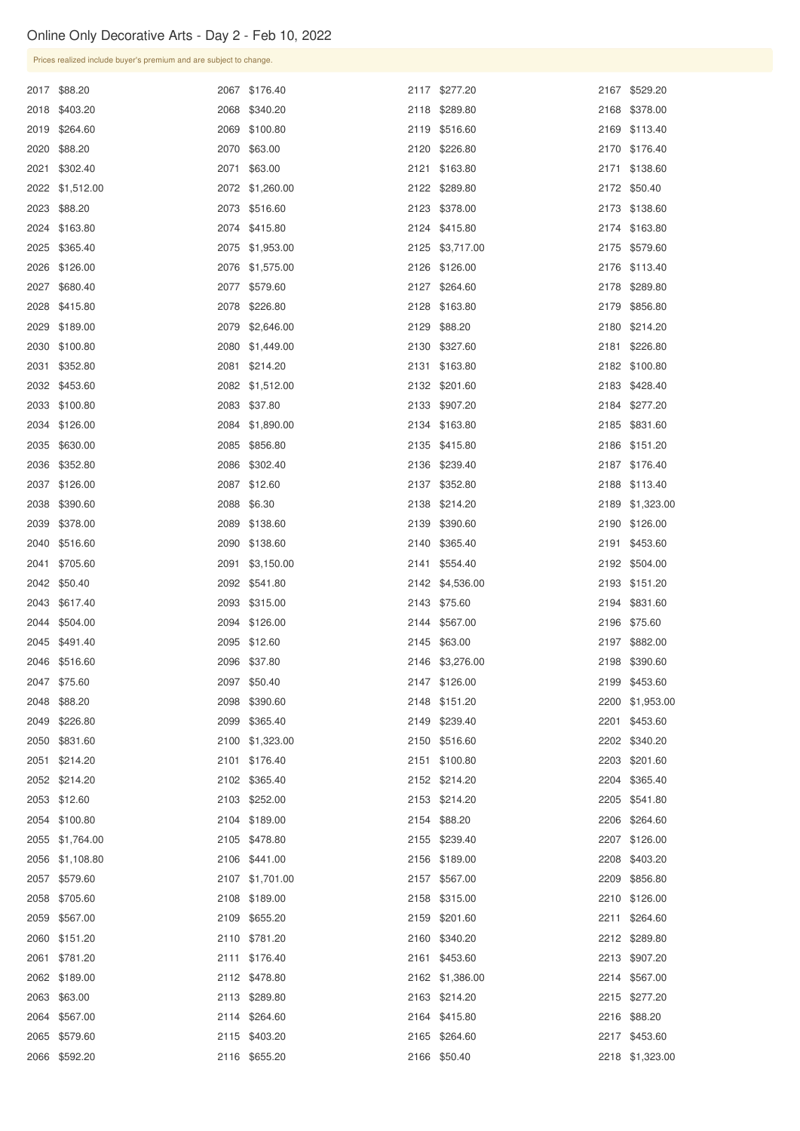| Prices realized include buyer's premium and are subject to change. |      |                 |                 |                 |
|--------------------------------------------------------------------|------|-----------------|-----------------|-----------------|
| 2017 \$88.20                                                       |      | 2067 \$176.40   | 2117 \$277.20   | 2167 \$529.20   |
| 2018 \$403.20                                                      |      | 2068 \$340.20   | 2118 \$289.80   | 2168 \$378.00   |
| 2019 \$264.60                                                      |      | 2069 \$100.80   | 2119 \$516.60   | 2169 \$113.40   |
| 2020 \$88.20                                                       |      | 2070 \$63.00    | 2120 \$226.80   | 2170 \$176.40   |
| 2021 \$302.40                                                      |      | 2071 \$63.00    | 2121 \$163.80   | 2171 \$138.60   |
| 2022 \$1,512.00                                                    |      | 2072 \$1,260.00 | 2122 \$289.80   | 2172 \$50.40    |
| 2023 \$88.20                                                       |      | 2073 \$516.60   | 2123 \$378.00   | 2173 \$138.60   |
| 2024 \$163.80                                                      |      | 2074 \$415.80   | 2124 \$415.80   | 2174 \$163.80   |
| 2025 \$365.40                                                      |      | 2075 \$1,953.00 | 2125 \$3,717.00 | 2175 \$579.60   |
| 2026 \$126.00                                                      |      | 2076 \$1,575.00 | 2126 \$126.00   | 2176 \$113.40   |
| 2027 \$680.40                                                      |      | 2077 \$579.60   | 2127 \$264.60   | 2178 \$289.80   |
| 2028 \$415.80                                                      |      | 2078 \$226.80   | 2128 \$163.80   | 2179 \$856.80   |
| 2029 \$189.00                                                      |      | 2079 \$2,646.00 | 2129 \$88.20    | 2180 \$214.20   |
| 2030 \$100.80                                                      |      | 2080 \$1,449.00 | 2130 \$327.60   | 2181 \$226.80   |
| 2031 \$352.80                                                      |      | 2081 \$214.20   | 2131 \$163.80   | 2182 \$100.80   |
| 2032 \$453.60                                                      |      | 2082 \$1,512.00 | 2132 \$201.60   | 2183 \$428.40   |
| 2033 \$100.80                                                      |      | 2083 \$37.80    | 2133 \$907.20   | 2184 \$277.20   |
| 2034 \$126.00                                                      |      | 2084 \$1,890.00 | 2134 \$163.80   | 2185 \$831.60   |
| 2035 \$630.00                                                      |      | 2085 \$856.80   | 2135 \$415.80   | 2186 \$151.20   |
| 2036 \$352.80                                                      |      | 2086 \$302.40   | 2136 \$239.40   | 2187 \$176.40   |
| 2037 \$126.00                                                      |      | 2087 \$12.60    | 2137 \$352.80   | 2188 \$113.40   |
| 2038 \$390.60                                                      |      | 2088 \$6.30     | 2138 \$214.20   | 2189 \$1,323.00 |
| 2039 \$378.00                                                      |      | 2089 \$138.60   | 2139 \$390.60   | 2190 \$126.00   |
| 2040 \$516.60                                                      |      | 2090 \$138.60   | 2140 \$365.40   | 2191 \$453.60   |
| 2041 \$705.60                                                      | 2091 | \$3,150.00      | 2141 \$554.40   | 2192 \$504.00   |
| 2042 \$50.40                                                       |      | 2092 \$541.80   | 2142 \$4,536.00 | 2193 \$151.20   |
| 2043 \$617.40                                                      |      | 2093 \$315.00   | 2143 \$75.60    | 2194 \$831.60   |
| 2044 \$504.00                                                      |      | 2094 \$126.00   | 2144 \$567.00   | 2196 \$75.60    |
| 2045 \$491.40                                                      |      | 2095 \$12.60    | 2145 \$63.00    | 2197 \$882.00   |
| 2046 \$516.60                                                      |      | 2096 \$37.80    | 2146 \$3,276.00 | 2198 \$390.60   |
| 2047 \$75.60                                                       |      | 2097 \$50.40    | 2147 \$126.00   | 2199 \$453.60   |
| 2048 \$88.20                                                       |      | 2098 \$390.60   | 2148 \$151.20   | 2200 \$1,953.00 |
| 2049 \$226.80                                                      |      | 2099 \$365.40   | 2149 \$239.40   | 2201 \$453.60   |
| 2050 \$831.60                                                      |      | 2100 \$1,323.00 | 2150 \$516.60   | 2202 \$340.20   |
| 2051 \$214.20                                                      |      | 2101 \$176.40   | 2151 \$100.80   | 2203 \$201.60   |
| 2052 \$214.20                                                      |      | 2102 \$365.40   | 2152 \$214.20   | 2204 \$365.40   |
| 2053 \$12.60                                                       |      | 2103 \$252.00   | 2153 \$214.20   | 2205 \$541.80   |
| 2054 \$100.80                                                      |      | 2104 \$189.00   | 2154 \$88.20    | 2206 \$264.60   |
| 2055 \$1,764.00                                                    |      | 2105 \$478.80   | 2155 \$239.40   | 2207 \$126.00   |

| 2056 \$1,108.80 | 2106 \$441.00   | 2156 \$189.00   | 2208 \$403.20   |
|-----------------|-----------------|-----------------|-----------------|
| 2057 \$579.60   | 2107 \$1,701.00 | 2157 \$567.00   | 2209 \$856.80   |
| 2058 \$705.60   | 2108 \$189.00   | 2158 \$315.00   | 2210 \$126.00   |
| 2059 \$567.00   | 2109 \$655.20   | 2159 \$201.60   | 2211 \$264.60   |
| 2060 \$151.20   | 2110 \$781.20   | 2160 \$340.20   | 2212 \$289.80   |
| 2061 \$781.20   | 2111 \$176.40   | 2161 \$453.60   | 2213 \$907.20   |
| 2062 \$189.00   | 2112 \$478.80   | 2162 \$1,386.00 | 2214 \$567.00   |
| 2063 \$63.00    | 2113 \$289.80   | 2163 \$214.20   | 2215 \$277.20   |
| 2064 \$567.00   | 2114 \$264.60   | 2164 \$415.80   | 2216 \$88.20    |
| 2065 \$579.60   | 2115 \$403.20   | 2165 \$264.60   | 2217 \$453.60   |
| 2066 \$592.20   | 2116 \$655.20   | 2166 \$50.40    | 2218 \$1,323.00 |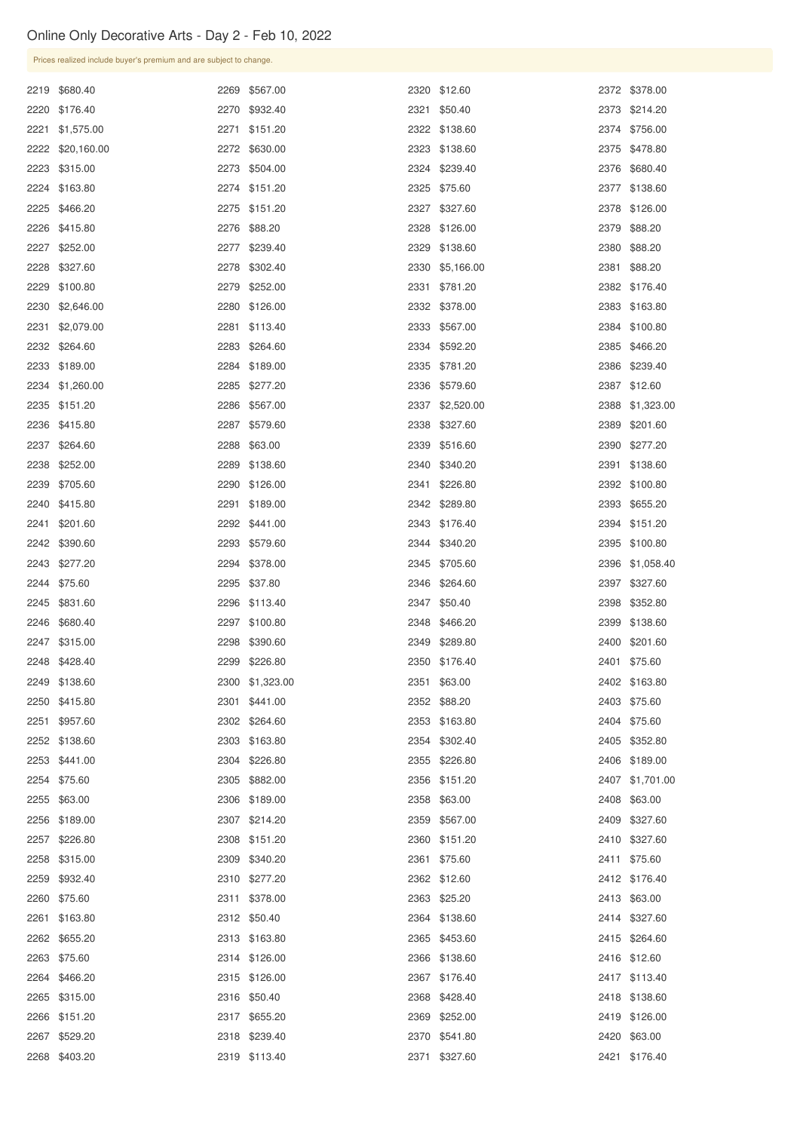|  | Prices realized include buyer's premium and are subject to change. |      |                 |                 |                 |
|--|--------------------------------------------------------------------|------|-----------------|-----------------|-----------------|
|  | 2219 \$680.40                                                      | 2269 | \$567.00        | 2320 \$12.60    | 2372 \$378.00   |
|  | 2220 \$176.40                                                      |      | 2270 \$932.40   | 2321 \$50.40    | 2373 \$214.20   |
|  | 2221 \$1,575.00                                                    | 2271 | \$151.20        | 2322 \$138.60   | 2374 \$756.00   |
|  | 2222 \$20,160.00                                                   |      | 2272 \$630.00   | 2323 \$138.60   | 2375 \$478.80   |
|  | 2223 \$315.00                                                      |      | 2273 \$504.00   | 2324 \$239.40   | 2376 \$680.40   |
|  | 2224 \$163.80                                                      |      | 2274 \$151.20   | 2325 \$75.60    | 2377 \$138.60   |
|  | 2225 \$466.20                                                      |      | 2275 \$151.20   | 2327 \$327.60   | 2378 \$126.00   |
|  | 2226 \$415.80                                                      |      | 2276 \$88.20    | 2328 \$126.00   | 2379 \$88.20    |
|  | 2227 \$252.00                                                      | 2277 | \$239.40        | 2329 \$138.60   | 2380 \$88.20    |
|  | 2228 \$327.60                                                      | 2278 | \$302.40        | 2330 \$5,166.00 | 2381 \$88.20    |
|  | 2229 \$100.80                                                      | 2279 | \$252.00        | 2331 \$781.20   | 2382 \$176.40   |
|  | 2230 \$2,646.00                                                    | 2280 | \$126.00        | 2332 \$378.00   | 2383 \$163.80   |
|  | 2231 \$2,079.00                                                    | 2281 | \$113.40        | 2333 \$567.00   | 2384 \$100.80   |
|  | 2232 \$264.60                                                      | 2283 | \$264.60        | 2334 \$592.20   | 2385 \$466.20   |
|  | 2233 \$189.00                                                      |      | 2284 \$189.00   | 2335 \$781.20   | 2386 \$239.40   |
|  | 2234 \$1,260.00                                                    | 2285 | \$277.20        | 2336 \$579.60   | 2387 \$12.60    |
|  | 2235 \$151.20                                                      |      | 2286 \$567.00   | 2337 \$2,520.00 | 2388 \$1,323.00 |
|  | 2236 \$415.80                                                      | 2287 | \$579.60        | 2338 \$327.60   | 2389 \$201.60   |
|  | 2237 \$264.60                                                      |      | 2288 \$63.00    | 2339 \$516.60   | 2390 \$277.20   |
|  | 2238 \$252.00                                                      |      | 2289 \$138.60   | 2340 \$340.20   | 2391 \$138.60   |
|  | 2239 \$705.60                                                      |      | 2290 \$126.00   | 2341 \$226.80   | 2392 \$100.80   |
|  | 2240 \$415.80                                                      | 2291 | \$189.00        | 2342 \$289.80   | 2393 \$655.20   |
|  | 2241 \$201.60                                                      | 2292 | \$441.00        | 2343 \$176.40   | 2394 \$151.20   |
|  | 2242 \$390.60                                                      | 2293 | \$579.60        | 2344 \$340.20   | 2395 \$100.80   |
|  | 2243 \$277.20                                                      | 2294 | \$378.00        | 2345 \$705.60   | 2396 \$1,058.40 |
|  | 2244 \$75.60                                                       | 2295 | \$37.80         | 2346 \$264.60   | 2397 \$327.60   |
|  | 2245 \$831.60                                                      | 2296 | \$113.40        | 2347 \$50.40    | 2398 \$352.80   |
|  | 2246 \$680.40                                                      |      | 2297 \$100.80   | 2348 \$466.20   | 2399 \$138.60   |
|  | 2247 \$315.00                                                      | 2298 | \$390.60        | 2349 \$289.80   | 2400 \$201.60   |
|  | 2248 \$428.40                                                      | 2299 | \$226.80        | 2350 \$176.40   | 2401 \$75.60    |
|  | 2249 \$138.60                                                      |      | 2300 \$1,323.00 | 2351 \$63.00    | 2402 \$163.80   |
|  | 2250 \$415.80                                                      |      | 2301 \$441.00   | 2352 \$88.20    | 2403 \$75.60    |
|  | 2251 \$957.60                                                      |      | 2302 \$264.60   | 2353 \$163.80   | 2404 \$75.60    |
|  | 2252 \$138.60                                                      |      | 2303 \$163.80   | 2354 \$302.40   | 2405 \$352.80   |
|  | 2253 \$441.00                                                      | 2304 | \$226.80        | 2355 \$226.80   | 2406 \$189.00   |
|  | 2254 \$75.60                                                       | 2305 | \$882.00        | 2356 \$151.20   | 2407 \$1,701.00 |
|  | 2255 \$63.00                                                       |      | 2306 \$189.00   | 2358 \$63.00    | 2408 \$63.00    |
|  | 2256 \$189.00                                                      |      | 2307 \$214.20   | 2359 \$567.00   | 2409 \$327.60   |
|  | 2257 \$226.80                                                      |      | 2308 \$151.20   | 2360 \$151.20   | 2410 \$327.60   |

| 2258 \$315.00 | 2309 \$340.20 | 2361 \$75.60  | 2411 \$75.60  |
|---------------|---------------|---------------|---------------|
| 2259 \$932.40 | 2310 \$277.20 | 2362 \$12.60  | 2412 \$176.40 |
| 2260 \$75.60  | 2311 \$378.00 | 2363 \$25.20  | 2413 \$63.00  |
| 2261 \$163.80 | 2312 \$50.40  | 2364 \$138.60 | 2414 \$327.60 |
| 2262 \$655.20 | 2313 \$163.80 | 2365 \$453.60 | 2415 \$264.60 |
| 2263 \$75.60  | 2314 \$126.00 | 2366 \$138.60 | 2416 \$12.60  |
| 2264 \$466.20 | 2315 \$126.00 | 2367 \$176.40 | 2417 \$113.40 |
| 2265 \$315.00 | 2316 \$50.40  | 2368 \$428.40 | 2418 \$138.60 |
| 2266 \$151.20 | 2317 \$655.20 | 2369 \$252.00 | 2419 \$126.00 |
| 2267 \$529.20 | 2318 \$239.40 | 2370 \$541.80 | 2420 \$63.00  |
| 2268 \$403.20 | 2319 \$113.40 | 2371 \$327.60 | 2421 \$176.40 |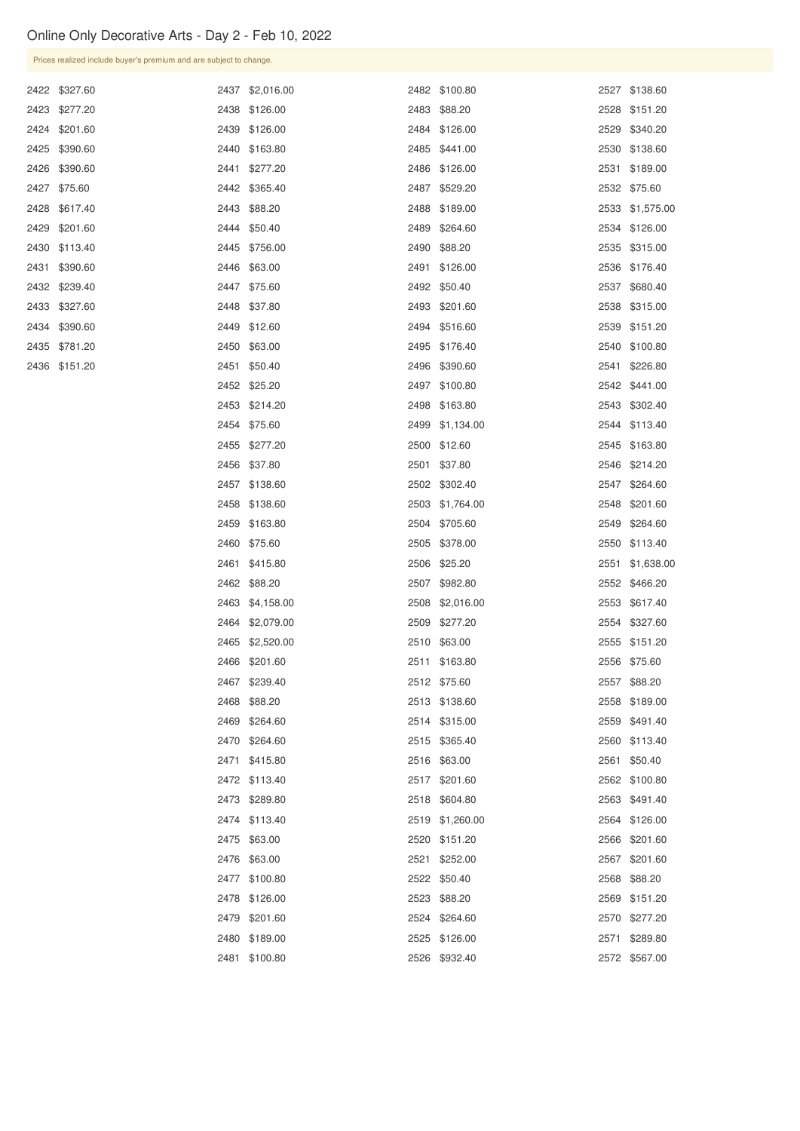| Prices realized include buyer's premium and are subject to change. |      |                 |               |      |                 |
|--------------------------------------------------------------------|------|-----------------|---------------|------|-----------------|
| 2422 \$327.60                                                      |      | 2437 \$2,016.00 | 2482 \$100.80 |      | 2527 \$138.60   |
| 2423 \$277.20                                                      |      | 2438 \$126.00   | 2483 \$88.20  |      | 2528 \$151.20   |
| 2424 \$201.60                                                      |      | 2439 \$126.00   | 2484 \$126.00 |      | 2529 \$340.20   |
| 2425 \$390.60                                                      |      | 2440 \$163.80   | 2485 \$441.00 |      | 2530 \$138.60   |
| 2426 \$390.60                                                      | 2441 | \$277.20        | 2486 \$126.00 | 2531 | \$189.00        |
| 2427 \$75.60                                                       |      | 2442 \$365.40   | 2487 \$529.20 |      | 2532 \$75.60    |
| 2428 \$617.40                                                      |      | 2443 \$88.20    | 2488 \$189.00 |      | 2533 \$1,575.00 |
| 2429 \$201.60                                                      |      | 2444 \$50.40    | 2489 \$264.60 |      | 2534 \$126.00   |
| 2430 \$113.40                                                      |      | 2445 \$756.00   | 2490 \$88.20  |      | 2535 \$315.00   |
| 2431 \$390.60                                                      |      | 2446 \$63.00    | 2491 \$126.00 |      | 2536 \$176.40   |
| 2432 \$239.40                                                      |      | 2447 \$75.60    | 2492 \$50.40  |      | 2537 \$680.40   |
| 2433 \$327.60                                                      |      | 2448 \$37.80    | 2493 \$201.60 |      | 2538 \$315.00   |
| 2434 \$390.60                                                      |      | 2449 \$12.60    | 2494 \$516.60 |      | 2539 \$151.20   |
| 2435 \$781.20                                                      |      | 2450 \$63.00    | 2495 \$176.40 |      | 2540 \$100.80   |
| 2436 \$151.20                                                      |      | 2451 \$50.40    | 2496 \$390.60 |      | 2541 \$226.80   |
|                                                                    |      | 2452 \$25.20    | 2497 \$100.80 |      | 2542 \$441.00   |
|                                                                    |      | 2453 \$214.20   | 2498 \$163.80 |      | 2543 \$302.40   |

|      | $^{40}$    |      | $v - v - v - v$ |      | $V \cdot V \cdot V \cdot V$ |
|------|------------|------|-----------------|------|-----------------------------|
| 2447 | \$75.60    | 2492 | \$50.40         | 2537 | \$680.40                    |
| 2448 | \$37.80    | 2493 | \$201.60        | 2538 | \$315.00                    |
| 2449 | \$12.60    | 2494 | \$516.60        | 2539 | \$151.20                    |
| 2450 | \$63.00    | 2495 | \$176.40        | 2540 | \$100.80                    |
| 2451 | \$50.40    | 2496 | \$390.60        | 2541 | \$226.80                    |
| 2452 | \$25.20    | 2497 | \$100.80        | 2542 | \$441.00                    |
| 2453 | \$214.20   | 2498 | \$163.80        | 2543 | \$302.40                    |
| 2454 | \$75.60    | 2499 | \$1,134.00      | 2544 | \$113.40                    |
| 2455 | \$277.20   | 2500 | \$12.60         | 2545 | \$163.80                    |
| 2456 | \$37.80    | 2501 | \$37.80         | 2546 | \$214.20                    |
| 2457 | \$138.60   | 2502 | \$302.40        | 2547 | \$264.60                    |
| 2458 | \$138.60   | 2503 | \$1,764.00      | 2548 | \$201.60                    |
| 2459 | \$163.80   | 2504 | \$705.60        | 2549 | \$264.60                    |
| 2460 | \$75.60    | 2505 | \$378.00        | 2550 | \$113.40                    |
| 2461 | \$415.80   | 2506 | \$25.20         | 2551 | \$1,638.00                  |
| 2462 | \$88.20    | 2507 | \$982.80        | 2552 | \$466.20                    |
| 2463 | \$4,158.00 | 2508 | \$2,016.00      | 2553 | \$617.40                    |
| 2464 | \$2,079.00 | 2509 | \$277.20        | 2554 | \$327.60                    |
| 2465 | \$2,520.00 | 2510 | \$63.00         | 2555 | \$151.20                    |
| 2466 | \$201.60   | 2511 | \$163.80        | 2556 | \$75.60                     |
| 2467 | \$239.40   | 2512 | \$75.60         | 2557 | \$88.20                     |
| 2468 | \$88.20    | 2513 | \$138.60        | 2558 | \$189.00                    |
| 2469 | \$264.60   | 2514 | \$315.00        | 2559 | \$491.40                    |
| 2470 | \$264.60   | 2515 | \$365.40        | 2560 | \$113.40                    |
| 2471 | \$415.80   | 2516 | \$63.00         | 2561 | \$50.40                     |
| 2472 | \$113.40   | 2517 | \$201.60        | 2562 | \$100.80                    |
| 2473 | \$289.80   | 2518 | \$604.80        | 2563 | \$491.40                    |
| 2474 | \$113.40   | 2519 | \$1,260.00      | 2564 | \$126.00                    |
| 2475 | \$63.00    | 2520 | \$151.20        | 2566 | \$201.60                    |
| 2476 | \$63.00    | 2521 | \$252.00        | 2567 | \$201.60                    |
| 2477 | \$100.80   | 2522 | \$50.40         | 2568 | \$88.20                     |
| 2478 | \$126.00   | 2523 | \$88.20         | 2569 | \$151.20                    |
| 2479 | \$201.60   | 2524 | \$264.60        | 2570 | \$277.20                    |
| 2480 | \$189.00   | 2525 | \$126.00        | 2571 | \$289.80                    |
| 2481 | \$100.80   | 2526 | \$932.40        | 2572 | \$567.00                    |